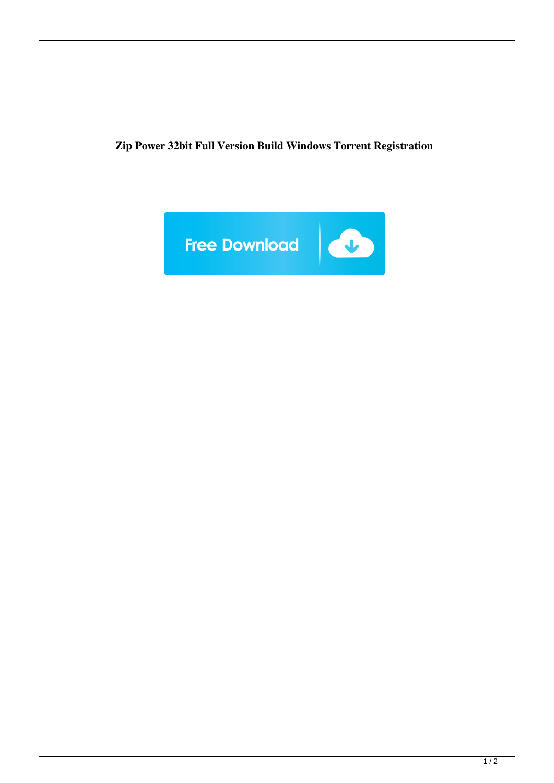**Zip Power 32bit Full Version Build Windows Torrent Registration**